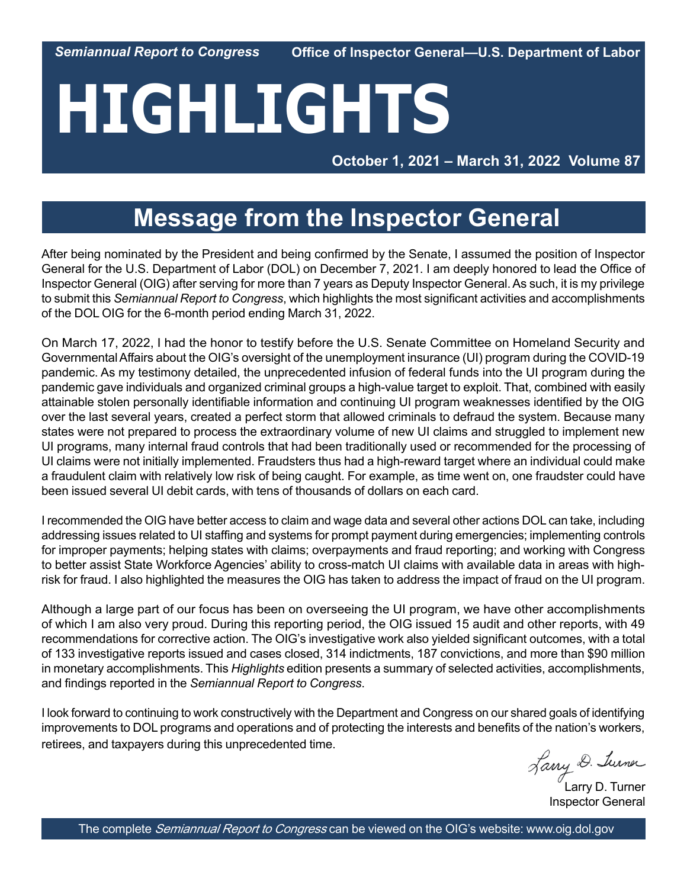*Semiannual Report to Congress*

**Office of Inspector General—U.S. Department of Labor**

# **HIGHLIGHTS**

 **October 1, 2021 – March 31, 2022 Volume 87**

## **Message from the Inspector General**

After being nominated by the President and being confirmed by the Senate, I assumed the position of Inspector General for the U.S. Department of Labor (DOL) on December 7, 2021. I am deeply honored to lead the Office of Inspector General (OIG) after serving for more than 7 years as Deputy Inspector General. As such, it is my privilege to submit this *Semiannual Report to Congress*, which highlights the most significant activities and accomplishments of the DOL OIG for the 6-month period ending March 31, 2022.

On March 17, 2022, I had the honor to testify before the U.S. Senate Committee on Homeland Security and Governmental Affairs about the OIG's oversight of the unemployment insurance (UI) program during the COVID-19 pandemic. As my testimony detailed, the unprecedented infusion of federal funds into the UI program during the pandemic gave individuals and organized criminal groups a high-value target to exploit. That, combined with easily attainable stolen personally identifiable information and continuing UI program weaknesses identified by the OIG over the last several years, created a perfect storm that allowed criminals to defraud the system. Because many states were not prepared to process the extraordinary volume of new UI claims and struggled to implement new UI programs, many internal fraud controls that had been traditionally used or recommended for the processing of UI claims were not initially implemented. Fraudsters thus had a high-reward target where an individual could make a fraudulent claim with relatively low risk of being caught. For example, as time went on, one fraudster could have been issued several UI debit cards, with tens of thousands of dollars on each card.

I recommended the OIG have better access to claim and wage data and several other actions DOL can take, including addressing issues related to UI staffing and systems for prompt payment during emergencies; implementing controls for improper payments; helping states with claims; overpayments and fraud reporting; and working with Congress to better assist State Workforce Agencies' ability to cross-match UI claims with available data in areas with highrisk for fraud. I also highlighted the measures the OIG has taken to address the impact of fraud on the UI program.

Although a large part of our focus has been on overseeing the UI program, we have other accomplishments of which I am also very proud. During this reporting period, the OIG issued 15 audit and other reports, with 49 recommendations for corrective action. The OIG's investigative work also yielded significant outcomes, with a total of 133 investigative reports issued and cases closed, 314 indictments, 187 convictions, and more than \$90 million in monetary accomplishments. This *Highlights* edition presents a summary of selected activities, accomplishments, and findings reported in the *Semiannual Report to Congress*.

I look forward to continuing to work constructively with the Department and Congress on our shared goals of identifying improvements to DOL programs and operations and of protecting the interests and benefits of the nation's workers, retirees, and taxpayers during this unprecedented time.

Larry D. Turner

Inspector General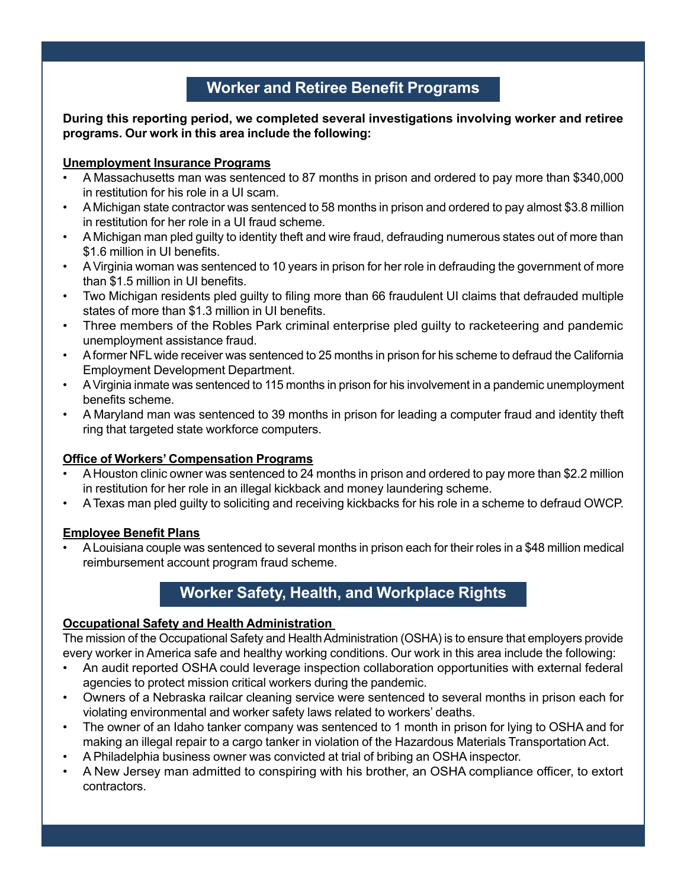## **Worker and Retiree Benefit Programs**

#### **During this reporting period, we completed several investigations involving worker and retiree programs. Our work in this area include the following:**

#### **Unemployment Insurance Programs**

- A Massachusetts man was sentenced to 87 months in prison and ordered to pay more than \$340,000 in restitution for his role in a UI scam.
- A Michigan state contractor was sentenced to 58 months in prison and ordered to pay almost \$3.8 million in restitution for her role in a UI fraud scheme.
- A Michigan man pled guilty to identity theft and wire fraud, defrauding numerous states out of more than \$1.6 million in UI benefits.
- A Virginia woman was sentenced to 10 years in prison for her role in defrauding the government of more than \$1.5 million in UI benefits.
- Two Michigan residents pled guilty to filing more than 66 fraudulent UI claims that defrauded multiple states of more than \$1.3 million in UI benefits.
- Three members of the Robles Park criminal enterprise pled guilty to racketeering and pandemic unemployment assistance fraud.
- A former NFL wide receiver was sentenced to 25 months in prison for his scheme to defraud the California Employment Development Department.
- A Virginia inmate was sentenced to 115 months in prison for his involvement in a pandemic unemployment benefits scheme.
- A Maryland man was sentenced to 39 months in prison for leading a computer fraud and identity theft ring that targeted state workforce computers.

## **Office of Workers' Compensation Programs**

- A Houston clinic owner was sentenced to 24 months in prison and ordered to pay more than \$2.2 million in restitution for her role in an illegal kickback and money laundering scheme.
- A Texas man pled guilty to soliciting and receiving kickbacks for his role in a scheme to defraud OWCP.

## **Employee Benefit Plans**

• A Louisiana couple was sentenced to several months in prison each for their roles in a \$48 million medical reimbursement account program fraud scheme.

## **Worker Safety, Health, and Workplace Rights**

## **Occupational Safety and Health Administration**

The mission of the Occupational Safety and Health Administration (OSHA) is to ensure that employers provide every worker in America safe and healthy working conditions. Our work in this area include the following:

- An audit reported OSHA could leverage inspection collaboration opportunities with external federal agencies to protect mission critical workers during the pandemic.
- Owners of a Nebraska railcar cleaning service were sentenced to several months in prison each for violating environmental and worker safety laws related to workers' deaths.
- The owner of an Idaho tanker company was sentenced to 1 month in prison for lying to OSHA and for making an illegal repair to a cargo tanker in violation of the Hazardous Materials Transportation Act.
- A Philadelphia business owner was convicted at trial of bribing an OSHA inspector.
- A New Jersey man admitted to conspiring with his brother, an OSHA compliance officer, to extort contractors.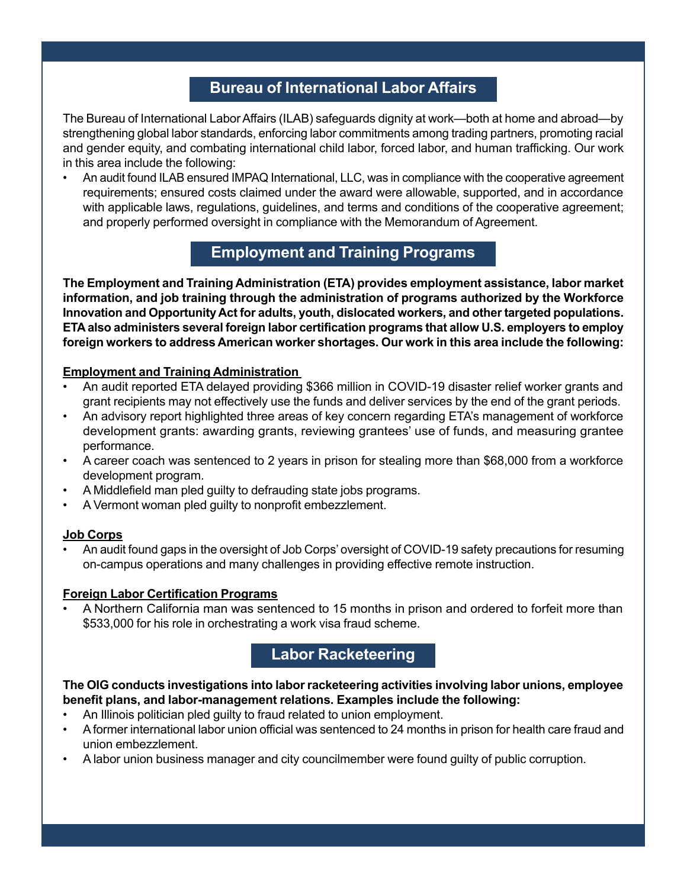## **Bureau of International Labor Affairs**

The Bureau of International Labor Affairs (ILAB) safeguards dignity at work—both at home and abroad—by strengthening global labor standards, enforcing labor commitments among trading partners, promoting racial and gender equity, and combating international child labor, forced labor, and human trafficking. Our work in this area include the following:

• An audit found ILAB ensured IMPAQ International, LLC, was in compliance with the cooperative agreement requirements; ensured costs claimed under the award were allowable, supported, and in accordance with applicable laws, regulations, guidelines, and terms and conditions of the cooperative agreement; and properly performed oversight in compliance with the Memorandum of Agreement.

## **Employment and Training Programs**

**The Employment and Training Administration (ETA) provides employment assistance, labor market information, and job training through the administration of programs authorized by the Workforce Innovation and Opportunity Act for adults, youth, dislocated workers, and other targeted populations. ETA also administers several foreign labor certification programs that allow U.S. employers to employ foreign workers to address American worker shortages. Our work in this area include the following:**

#### **Employment and Training Administration**

- An audit reported ETA delayed providing \$366 million in COVID-19 disaster relief worker grants and grant recipients may not effectively use the funds and deliver services by the end of the grant periods.
- An advisory report highlighted three areas of key concern regarding ETA's management of workforce development grants: awarding grants, reviewing grantees' use of funds, and measuring grantee performance.
- A career coach was sentenced to 2 years in prison for stealing more than \$68,000 from a workforce development program.
- A Middlefield man pled guilty to defrauding state jobs programs.
- A Vermont woman pled guilty to nonprofit embezzlement.

## **Job Corps**

• An audit found gaps in the oversight of Job Corps' oversight of COVID-19 safety precautions for resuming on-campus operations and many challenges in providing effective remote instruction.

#### **Foreign Labor Certification Programs**

• A Northern California man was sentenced to 15 months in prison and ordered to forfeit more than \$533,000 for his role in orchestrating a work visa fraud scheme.

## **Labor Racketeering**

#### **The OIG conducts investigations into labor racketeering activities involving labor unions, employee benefit plans, and labor-management relations. Examples include the following:**

- An Illinois politician pled guilty to fraud related to union employment.
- A former international labor union official was sentenced to 24 months in prison for health care fraud and union embezzlement.
- A labor union business manager and city councilmember were found guilty of public corruption.